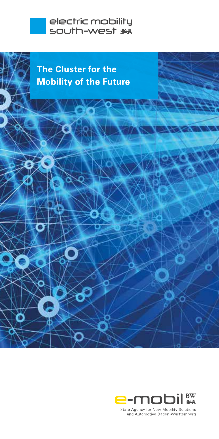





State Agency for New Mobility Solutions and Automotive Baden-Württemberg

c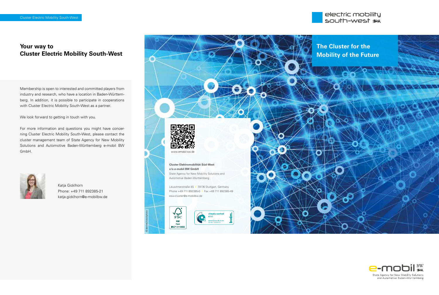

# **Your way to Cluster Electric Mobility South-West**

Membership is open to interested and committed players from industry and research, who have a location in Baden-Württemberg. In addition, it is possible to participate in cooperations with Cluster Electric Mobility South-West as a partner.

We look forward to getting in touch with you.

For more information and questions you might have concerning Cluster Electric Mobility South-West, please contact the cluster management team of State Agency for New Mobility Solutions and Automotive Baden-Württemberg e-mobil BW GmbH.



Katja Gicklhorn Phone: +49 711 892385-21 katja.gicklhorn@e-mobilbw.de



**Cluster Elektromobilität Süd-West c/o e-mobil BW GmbH** State Agency for New Mobility Solutions and Automotive Baden-Württemberg

Leuschnerstraße 45 I 70176 Stuttgart, Germany Phone +49 711 892385-0 I Fax +49 711 892385-49 esw-cluster@e-mobilbw.de

bvdm.



© derrrek/istockphoto